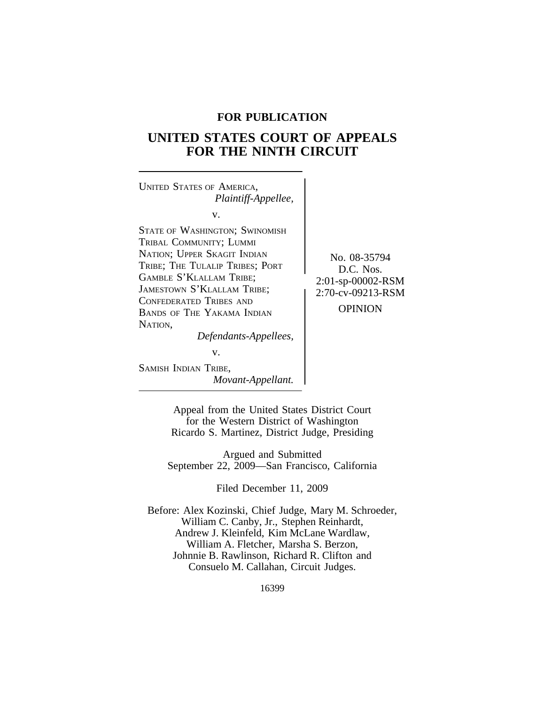## **FOR PUBLICATION**

# **UNITED STATES COURT OF APPEALS FOR THE NINTH CIRCUIT**

<sup>U</sup>NITED STATES OF AMERICA, *Plaintiff-Appellee,* v. STATE OF WASHINGTON; SWINOMISH TRIBAL COMMUNITY; LUMMI NATION; UPPER SKAGIT INDIAN No. 08-35794 TRIBE; THE TULALIP TRIBES; PORT D.C. Nos. GAMBLE S'KLALLAM TRIBE; JAMESTOWN S'KLALLAM TRIBE; CONFEDERATED TRIBES AND BANDS OF THE YAKAMA INDIAN OPINION NATION, *Defendants-Appellees,* v.

SAMISH INDIAN TRIBE, *Movant-Appellant.* 2:01-sp-00002-RSM<br>2:70-cv-09213-RSM

Appeal from the United States District Court for the Western District of Washington Ricardo S. Martinez, District Judge, Presiding

Argued and Submitted September 22, 2009—San Francisco, California

Filed December 11, 2009

Before: Alex Kozinski, Chief Judge, Mary M. Schroeder, William C. Canby, Jr., Stephen Reinhardt, Andrew J. Kleinfeld, Kim McLane Wardlaw, William A. Fletcher, Marsha S. Berzon, Johnnie B. Rawlinson, Richard R. Clifton and Consuelo M. Callahan, Circuit Judges.

16399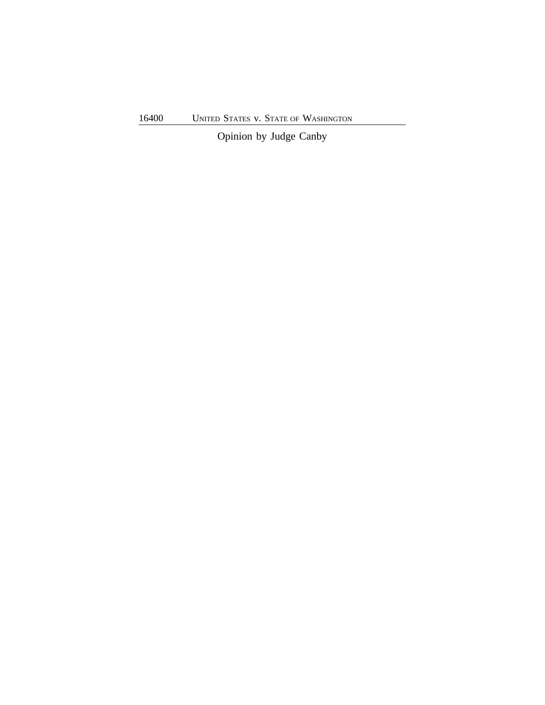16400 UNITED STATES v. STATE OF WASHINGTON

Opinion by Judge Canby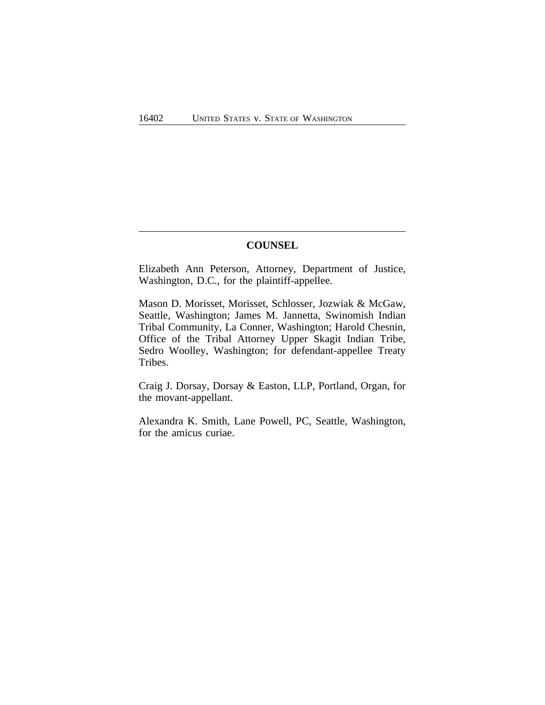## **COUNSEL**

Elizabeth Ann Peterson, Attorney, Department of Justice, Washington, D.C., for the plaintiff-appellee.

Mason D. Morisset, Morisset, Schlosser, Jozwiak & McGaw, Seattle, Washington; James M. Jannetta, Swinomish Indian Tribal Community, La Conner, Washington; Harold Chesnin, Office of the Tribal Attorney Upper Skagit Indian Tribe, Sedro Woolley, Washington; for defendant-appellee Treaty Tribes.

Craig J. Dorsay, Dorsay & Easton, LLP, Portland, Organ, for the movant-appellant.

Alexandra K. Smith, Lane Powell, PC, Seattle, Washington, for the amicus curiae.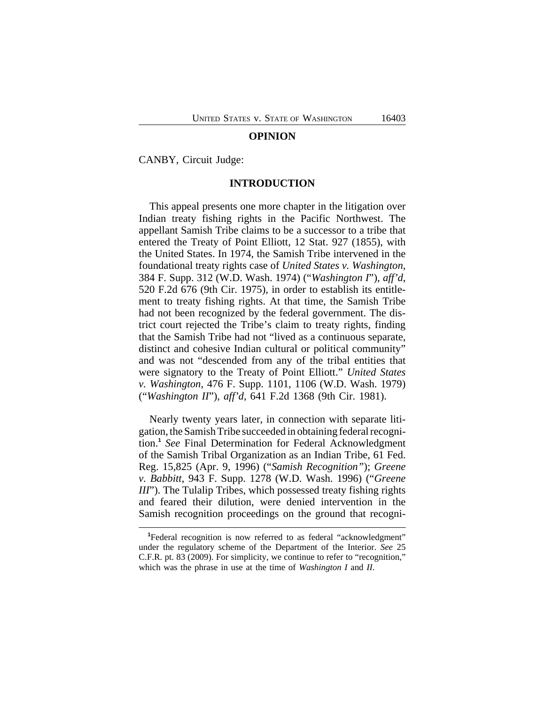#### **OPINION**

CANBY, Circuit Judge:

### **INTRODUCTION**

This appeal presents one more chapter in the litigation over Indian treaty fishing rights in the Pacific Northwest. The appellant Samish Tribe claims to be a successor to a tribe that entered the Treaty of Point Elliott, 12 Stat. 927 (1855), with the United States. In 1974, the Samish Tribe intervened in the foundational treaty rights case of *United States v. Washington*, 384 F. Supp. 312 (W.D. Wash. 1974) ("*Washington I*"), *aff'd*, 520 F.2d 676 (9th Cir. 1975), in order to establish its entitlement to treaty fishing rights. At that time, the Samish Tribe had not been recognized by the federal government. The district court rejected the Tribe's claim to treaty rights, finding that the Samish Tribe had not "lived as a continuous separate, distinct and cohesive Indian cultural or political community" and was not "descended from any of the tribal entities that were signatory to the Treaty of Point Elliott." *United States v. Washington*, 476 F. Supp. 1101, 1106 (W.D. Wash. 1979) ("*Washington II*"), *aff'd*, 641 F.2d 1368 (9th Cir. 1981).

Nearly twenty years later, in connection with separate litigation, the Samish Tribe succeeded in obtaining federal recognition.**<sup>1</sup>** *See* Final Determination for Federal Acknowledgment of the Samish Tribal Organization as an Indian Tribe, 61 Fed. Reg. 15,825 (Apr. 9, 1996) ("*Samish Recognition"*); *Greene v. Babbitt*, 943 F. Supp. 1278 (W.D. Wash. 1996) ("*Greene III*"). The Tulalip Tribes, which possessed treaty fishing rights and feared their dilution, were denied intervention in the Samish recognition proceedings on the ground that recogni-

<sup>&</sup>lt;sup>1</sup>Federal recognition is now referred to as federal "acknowledgment" under the regulatory scheme of the Department of the Interior. *See* 25 C.F.R. pt. 83 (2009). For simplicity, we continue to refer to "recognition," which was the phrase in use at the time of *Washington I* and *II*.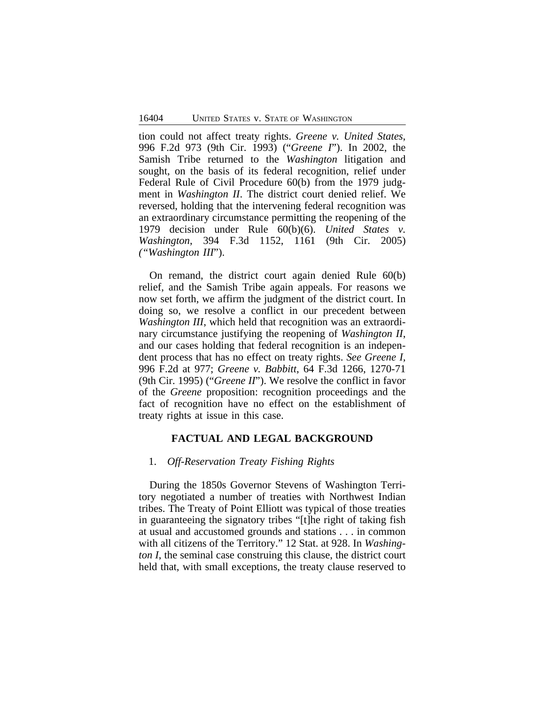tion could not affect treaty rights. *Greene v. United States*, 996 F.2d 973 (9th Cir. 1993) ("*Greene I*"). In 2002, the Samish Tribe returned to the *Washington* litigation and sought, on the basis of its federal recognition, relief under Federal Rule of Civil Procedure 60(b) from the 1979 judgment in *Washington II*. The district court denied relief. We reversed, holding that the intervening federal recognition was an extraordinary circumstance permitting the reopening of the 1979 decision under Rule 60(b)(6). *United States v. Washington*, 394 F.3d 1152, 1161 (9th Cir. 2005) *("Washington III*").

On remand, the district court again denied Rule 60(b) relief, and the Samish Tribe again appeals. For reasons we now set forth, we affirm the judgment of the district court. In doing so, we resolve a conflict in our precedent between *Washington III*, which held that recognition was an extraordinary circumstance justifying the reopening of *Washington II*, and our cases holding that federal recognition is an independent process that has no effect on treaty rights. *See Greene I,* 996 F.2d at 977; *Greene v. Babbitt*, 64 F.3d 1266, 1270-71 (9th Cir. 1995) ("*Greene II*"). We resolve the conflict in favor of the *Greene* proposition: recognition proceedings and the fact of recognition have no effect on the establishment of treaty rights at issue in this case.

## **FACTUAL AND LEGAL BACKGROUND**

### 1. *Off-Reservation Treaty Fishing Rights*

During the 1850s Governor Stevens of Washington Territory negotiated a number of treaties with Northwest Indian tribes. The Treaty of Point Elliott was typical of those treaties in guaranteeing the signatory tribes "[t]he right of taking fish at usual and accustomed grounds and stations . . . in common with all citizens of the Territory." 12 Stat. at 928. In *Washington I*, the seminal case construing this clause, the district court held that, with small exceptions, the treaty clause reserved to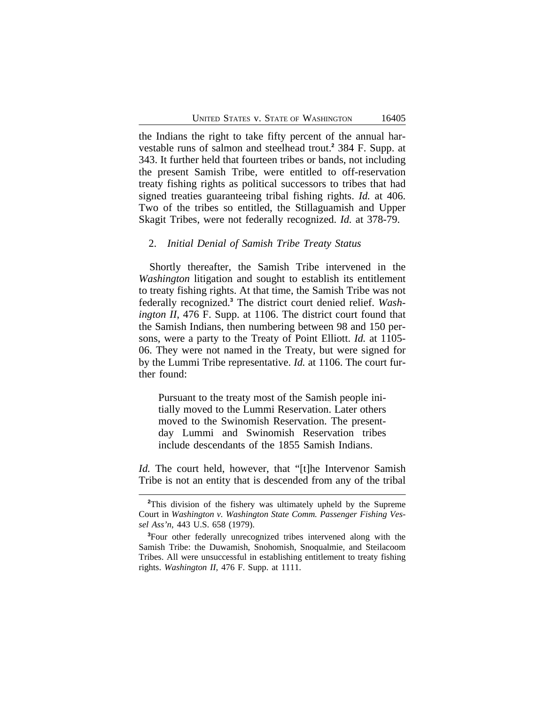the Indians the right to take fifty percent of the annual harvestable runs of salmon and steelhead trout.**<sup>2</sup>** 384 F. Supp. at 343. It further held that fourteen tribes or bands, not including the present Samish Tribe, were entitled to off-reservation treaty fishing rights as political successors to tribes that had signed treaties guaranteeing tribal fishing rights. *Id.* at 406. Two of the tribes so entitled, the Stillaguamish and Upper Skagit Tribes, were not federally recognized. *Id.* at 378-79.

### 2. *Initial Denial of Samish Tribe Treaty Status*

Shortly thereafter, the Samish Tribe intervened in the *Washington* litigation and sought to establish its entitlement to treaty fishing rights. At that time, the Samish Tribe was not federally recognized.**<sup>3</sup>** The district court denied relief. *Washington II*, 476 F. Supp. at 1106. The district court found that the Samish Indians, then numbering between 98 and 150 persons, were a party to the Treaty of Point Elliott. *Id.* at 1105- 06. They were not named in the Treaty, but were signed for by the Lummi Tribe representative. *Id.* at 1106. The court further found:

Pursuant to the treaty most of the Samish people initially moved to the Lummi Reservation. Later others moved to the Swinomish Reservation. The presentday Lummi and Swinomish Reservation tribes include descendants of the 1855 Samish Indians.

*Id.* The court held, however, that "[t]he Intervenor Samish Tribe is not an entity that is descended from any of the tribal

**<sup>2</sup>**This division of the fishery was ultimately upheld by the Supreme Court in *Washington v. Washington State Comm. Passenger Fishing Vessel Ass'n*, 443 U.S. 658 (1979).

**<sup>3</sup>**Four other federally unrecognized tribes intervened along with the Samish Tribe: the Duwamish, Snohomish, Snoqualmie, and Steilacoom Tribes. All were unsuccessful in establishing entitlement to treaty fishing rights. *Washington II*, 476 F. Supp. at 1111.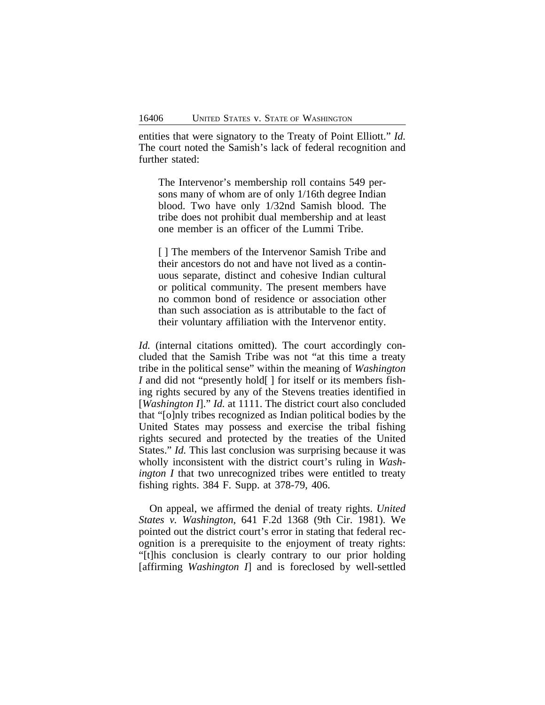entities that were signatory to the Treaty of Point Elliott." *Id.* The court noted the Samish's lack of federal recognition and further stated:

The Intervenor's membership roll contains 549 persons many of whom are of only 1/16th degree Indian blood. Two have only 1/32nd Samish blood. The tribe does not prohibit dual membership and at least one member is an officer of the Lummi Tribe.

[ ] The members of the Intervenor Samish Tribe and their ancestors do not and have not lived as a continuous separate, distinct and cohesive Indian cultural or political community. The present members have no common bond of residence or association other than such association as is attributable to the fact of their voluntary affiliation with the Intervenor entity.

*Id.* (internal citations omitted). The court accordingly concluded that the Samish Tribe was not "at this time a treaty tribe in the political sense" within the meaning of *Washington I* and did not "presently hold[ ] for itself or its members fishing rights secured by any of the Stevens treaties identified in [*Washington I*]." *Id.* at 1111. The district court also concluded that "[o]nly tribes recognized as Indian political bodies by the United States may possess and exercise the tribal fishing rights secured and protected by the treaties of the United States." *Id.* This last conclusion was surprising because it was wholly inconsistent with the district court's ruling in *Washington I* that two unrecognized tribes were entitled to treaty fishing rights. 384 F. Supp. at 378-79, 406.

On appeal, we affirmed the denial of treaty rights. *United States v. Washington*, 641 F.2d 1368 (9th Cir. 1981). We pointed out the district court's error in stating that federal recognition is a prerequisite to the enjoyment of treaty rights: "[t]his conclusion is clearly contrary to our prior holding [affirming *Washington I*] and is foreclosed by well-settled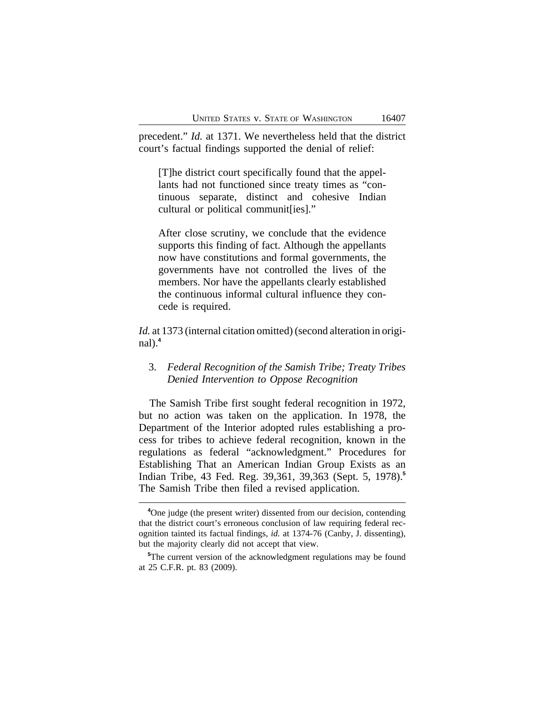precedent." *Id.* at 1371. We nevertheless held that the district court's factual findings supported the denial of relief:

[T]he district court specifically found that the appellants had not functioned since treaty times as "continuous separate, distinct and cohesive Indian cultural or political communit[ies]."

After close scrutiny, we conclude that the evidence supports this finding of fact. Although the appellants now have constitutions and formal governments, the governments have not controlled the lives of the members. Nor have the appellants clearly established the continuous informal cultural influence they concede is required.

*Id.* at 1373 (internal citation omitted) (second alteration in original).**<sup>4</sup>**

## 3. *Federal Recognition of the Samish Tribe; Treaty Tribes Denied Intervention to Oppose Recognition*

The Samish Tribe first sought federal recognition in 1972, but no action was taken on the application. In 1978, the Department of the Interior adopted rules establishing a process for tribes to achieve federal recognition, known in the regulations as federal "acknowledgment." Procedures for Establishing That an American Indian Group Exists as an Indian Tribe, 43 Fed. Reg. 39,361, 39,363 (Sept. 5, 1978).**<sup>5</sup>** The Samish Tribe then filed a revised application.

**<sup>4</sup>**One judge (the present writer) dissented from our decision, contending that the district court's erroneous conclusion of law requiring federal recognition tainted its factual findings, *id.* at 1374-76 (Canby, J. dissenting), but the majority clearly did not accept that view.

**<sup>5</sup>**The current version of the acknowledgment regulations may be found at 25 C.F.R. pt. 83 (2009).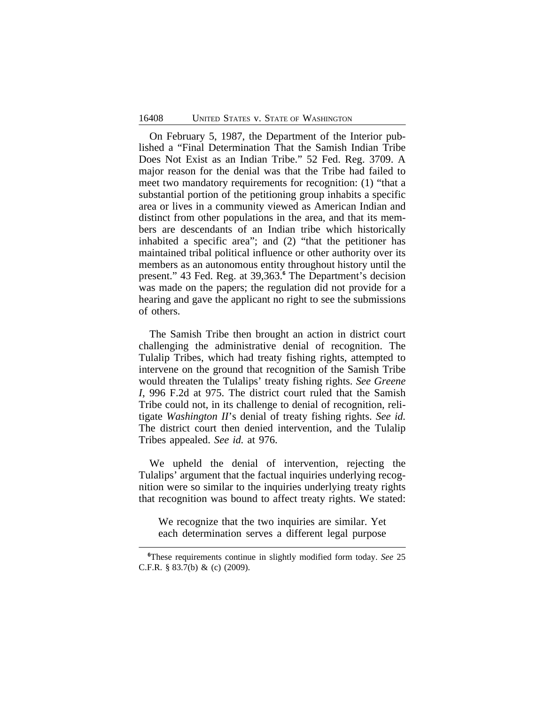On February 5, 1987, the Department of the Interior published a "Final Determination That the Samish Indian Tribe Does Not Exist as an Indian Tribe." 52 Fed. Reg. 3709. A major reason for the denial was that the Tribe had failed to meet two mandatory requirements for recognition: (1) "that a substantial portion of the petitioning group inhabits a specific area or lives in a community viewed as American Indian and distinct from other populations in the area, and that its members are descendants of an Indian tribe which historically inhabited a specific area"; and (2) "that the petitioner has maintained tribal political influence or other authority over its members as an autonomous entity throughout history until the present." 43 Fed. Reg. at 39,363.**<sup>6</sup>** The Department's decision was made on the papers; the regulation did not provide for a hearing and gave the applicant no right to see the submissions of others.

The Samish Tribe then brought an action in district court challenging the administrative denial of recognition. The Tulalip Tribes, which had treaty fishing rights, attempted to intervene on the ground that recognition of the Samish Tribe would threaten the Tulalips' treaty fishing rights. *See Greene I*, 996 F.2d at 975. The district court ruled that the Samish Tribe could not, in its challenge to denial of recognition, relitigate *Washington II*'s denial of treaty fishing rights. *See id.* The district court then denied intervention, and the Tulalip Tribes appealed. *See id.* at 976.

We upheld the denial of intervention, rejecting the Tulalips' argument that the factual inquiries underlying recognition were so similar to the inquiries underlying treaty rights that recognition was bound to affect treaty rights. We stated:

We recognize that the two inquiries are similar. Yet each determination serves a different legal purpose

**<sup>6</sup>**These requirements continue in slightly modified form today. *See* 25 C.F.R. § 83.7(b) & (c) (2009).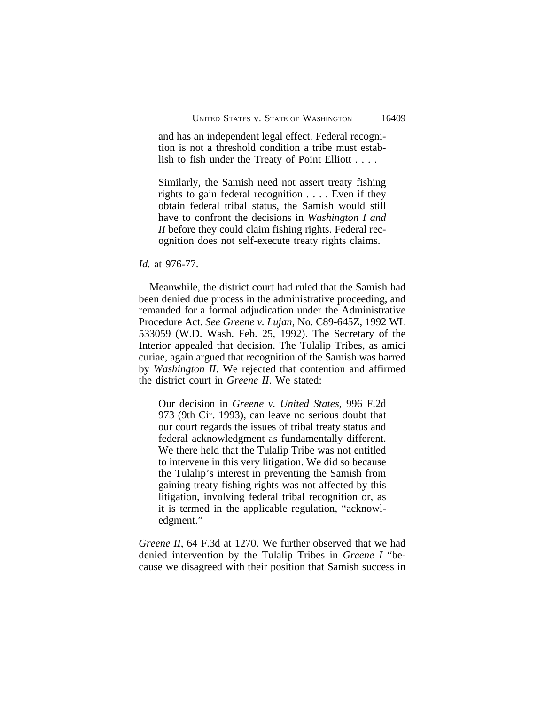and has an independent legal effect. Federal recognition is not a threshold condition a tribe must establish to fish under the Treaty of Point Elliott . . . .

Similarly, the Samish need not assert treaty fishing rights to gain federal recognition . . . . Even if they obtain federal tribal status, the Samish would still have to confront the decisions in *Washington I and II* before they could claim fishing rights. Federal recognition does not self-execute treaty rights claims.

## *Id.* at 976-77.

Meanwhile, the district court had ruled that the Samish had been denied due process in the administrative proceeding, and remanded for a formal adjudication under the Administrative Procedure Act. *See Greene v. Lujan*, No. C89-645Z, 1992 WL 533059 (W.D. Wash. Feb. 25, 1992). The Secretary of the Interior appealed that decision. The Tulalip Tribes, as amici curiae, again argued that recognition of the Samish was barred by *Washington II*. We rejected that contention and affirmed the district court in *Greene II*. We stated:

Our decision in *Greene v. United States*, 996 F.2d 973 (9th Cir. 1993), can leave no serious doubt that our court regards the issues of tribal treaty status and federal acknowledgment as fundamentally different. We there held that the Tulalip Tribe was not entitled to intervene in this very litigation. We did so because the Tulalip's interest in preventing the Samish from gaining treaty fishing rights was not affected by this litigation, involving federal tribal recognition or, as it is termed in the applicable regulation, "acknowledgment."

*Greene II*, 64 F.3d at 1270. We further observed that we had denied intervention by the Tulalip Tribes in *Greene I* "because we disagreed with their position that Samish success in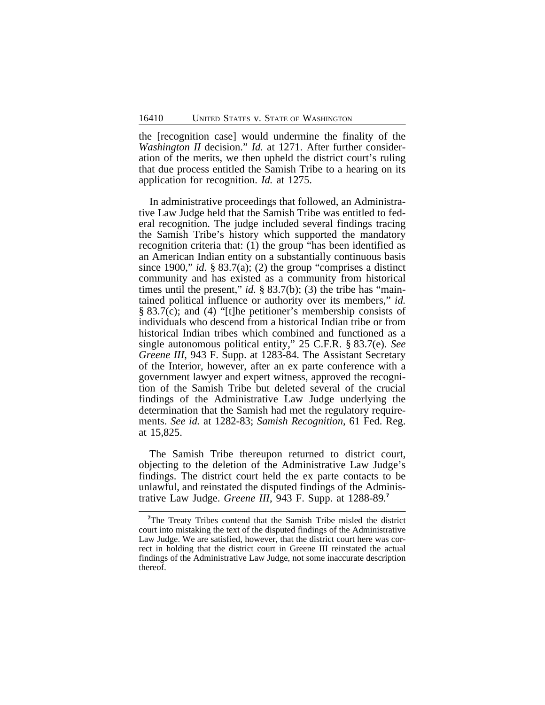the [recognition case] would undermine the finality of the *Washington II* decision." *Id.* at 1271. After further consideration of the merits, we then upheld the district court's ruling that due process entitled the Samish Tribe to a hearing on its application for recognition. *Id.* at 1275.

In administrative proceedings that followed, an Administrative Law Judge held that the Samish Tribe was entitled to federal recognition. The judge included several findings tracing the Samish Tribe's history which supported the mandatory recognition criteria that: (1) the group "has been identified as an American Indian entity on a substantially continuous basis since 1900," *id.* § 83.7(a); (2) the group "comprises a distinct community and has existed as a community from historical times until the present," *id.* § 83.7(b); (3) the tribe has "maintained political influence or authority over its members," *id.* § 83.7(c); and (4) "[t]he petitioner's membership consists of individuals who descend from a historical Indian tribe or from historical Indian tribes which combined and functioned as a single autonomous political entity," 25 C.F.R. § 83.7(e). *See Greene III*, 943 F. Supp. at 1283-84. The Assistant Secretary of the Interior, however, after an ex parte conference with a government lawyer and expert witness, approved the recognition of the Samish Tribe but deleted several of the crucial findings of the Administrative Law Judge underlying the determination that the Samish had met the regulatory requirements. *See id.* at 1282-83; *Samish Recognition*, 61 Fed. Reg. at 15,825.

The Samish Tribe thereupon returned to district court, objecting to the deletion of the Administrative Law Judge's findings. The district court held the ex parte contacts to be unlawful, and reinstated the disputed findings of the Administrative Law Judge. *Greene III*, 943 F. Supp. at 1288-89*.* **7**

**<sup>7</sup>**The Treaty Tribes contend that the Samish Tribe misled the district court into mistaking the text of the disputed findings of the Administrative Law Judge. We are satisfied, however, that the district court here was correct in holding that the district court in Greene III reinstated the actual findings of the Administrative Law Judge, not some inaccurate description thereof.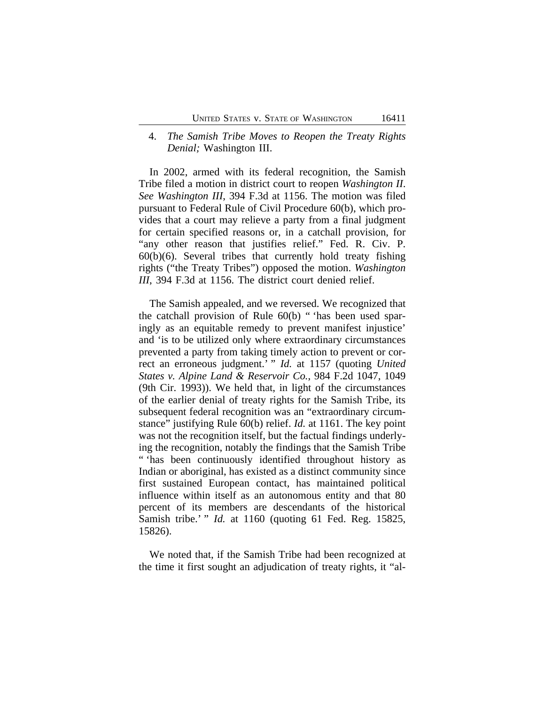## 4. *The Samish Tribe Moves to Reopen the Treaty Rights Denial;* Washington III.

In 2002, armed with its federal recognition, the Samish Tribe filed a motion in district court to reopen *Washington II*. *See Washington III*, 394 F.3d at 1156. The motion was filed pursuant to Federal Rule of Civil Procedure 60(b), which provides that a court may relieve a party from a final judgment for certain specified reasons or, in a catchall provision, for "any other reason that justifies relief." Fed. R. Civ. P.  $60(b)(6)$ . Several tribes that currently hold treaty fishing rights ("the Treaty Tribes") opposed the motion. *Washington III*, 394 F.3d at 1156. The district court denied relief.

The Samish appealed, and we reversed. We recognized that the catchall provision of Rule 60(b) " 'has been used sparingly as an equitable remedy to prevent manifest injustice' and 'is to be utilized only where extraordinary circumstances prevented a party from taking timely action to prevent or correct an erroneous judgment.' " *Id.* at 1157 (quoting *United States v. Alpine Land & Reservoir Co.*, 984 F.2d 1047, 1049 (9th Cir. 1993)). We held that, in light of the circumstances of the earlier denial of treaty rights for the Samish Tribe, its subsequent federal recognition was an "extraordinary circumstance" justifying Rule 60(b) relief. *Id.* at 1161. The key point was not the recognition itself, but the factual findings underlying the recognition, notably the findings that the Samish Tribe " 'has been continuously identified throughout history as Indian or aboriginal, has existed as a distinct community since first sustained European contact, has maintained political influence within itself as an autonomous entity and that 80 percent of its members are descendants of the historical Samish tribe.' " *Id.* at 1160 (quoting 61 Fed. Reg. 15825, 15826).

We noted that, if the Samish Tribe had been recognized at the time it first sought an adjudication of treaty rights, it "al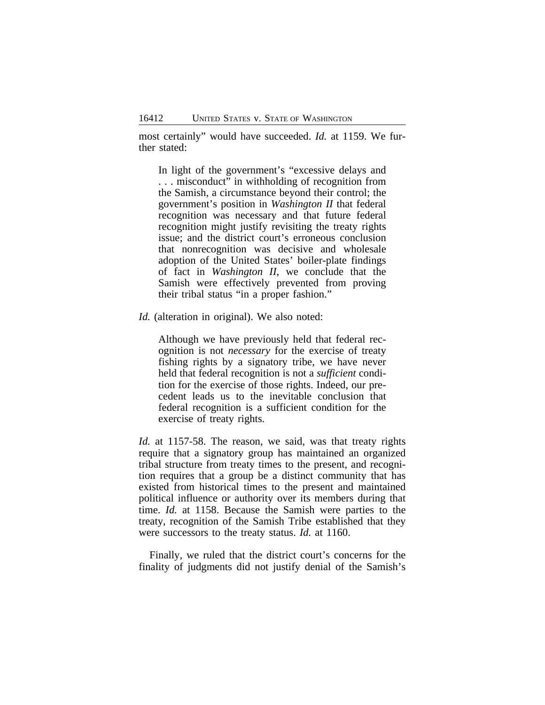most certainly" would have succeeded. *Id.* at 1159. We further stated:

In light of the government's "excessive delays and . . . misconduct" in withholding of recognition from the Samish, a circumstance beyond their control; the government's position in *Washington II* that federal recognition was necessary and that future federal recognition might justify revisiting the treaty rights issue; and the district court's erroneous conclusion that nonrecognition was decisive and wholesale adoption of the United States' boiler-plate findings of fact in *Washington II*, we conclude that the Samish were effectively prevented from proving their tribal status "in a proper fashion."

*Id.* (alteration in original). We also noted:

Although we have previously held that federal recognition is not *necessary* for the exercise of treaty fishing rights by a signatory tribe, we have never held that federal recognition is not a *sufficient* condition for the exercise of those rights. Indeed, our precedent leads us to the inevitable conclusion that federal recognition is a sufficient condition for the exercise of treaty rights.

*Id.* at 1157-58. The reason, we said, was that treaty rights require that a signatory group has maintained an organized tribal structure from treaty times to the present, and recognition requires that a group be a distinct community that has existed from historical times to the present and maintained political influence or authority over its members during that time. *Id.* at 1158. Because the Samish were parties to the treaty, recognition of the Samish Tribe established that they were successors to the treaty status. *Id.* at 1160.

Finally, we ruled that the district court's concerns for the finality of judgments did not justify denial of the Samish's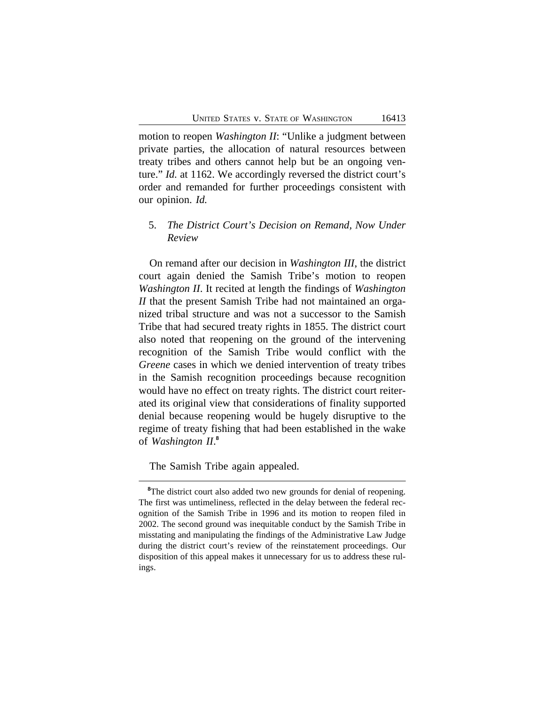motion to reopen *Washington II*: "Unlike a judgment between private parties, the allocation of natural resources between treaty tribes and others cannot help but be an ongoing venture." *Id.* at 1162. We accordingly reversed the district court's order and remanded for further proceedings consistent with our opinion. *Id.*

## 5. *The District Court's Decision on Remand, Now Under Review*

On remand after our decision in *Washington III*, the district court again denied the Samish Tribe's motion to reopen *Washington II*. It recited at length the findings of *Washington II* that the present Samish Tribe had not maintained an organized tribal structure and was not a successor to the Samish Tribe that had secured treaty rights in 1855. The district court also noted that reopening on the ground of the intervening recognition of the Samish Tribe would conflict with the *Greene* cases in which we denied intervention of treaty tribes in the Samish recognition proceedings because recognition would have no effect on treaty rights. The district court reiterated its original view that considerations of finality supported denial because reopening would be hugely disruptive to the regime of treaty fishing that had been established in the wake of *Washington II*. **8**

The Samish Tribe again appealed.

<sup>&</sup>lt;sup>8</sup>The district court also added two new grounds for denial of reopening. The first was untimeliness, reflected in the delay between the federal recognition of the Samish Tribe in 1996 and its motion to reopen filed in 2002. The second ground was inequitable conduct by the Samish Tribe in misstating and manipulating the findings of the Administrative Law Judge during the district court's review of the reinstatement proceedings. Our disposition of this appeal makes it unnecessary for us to address these rulings.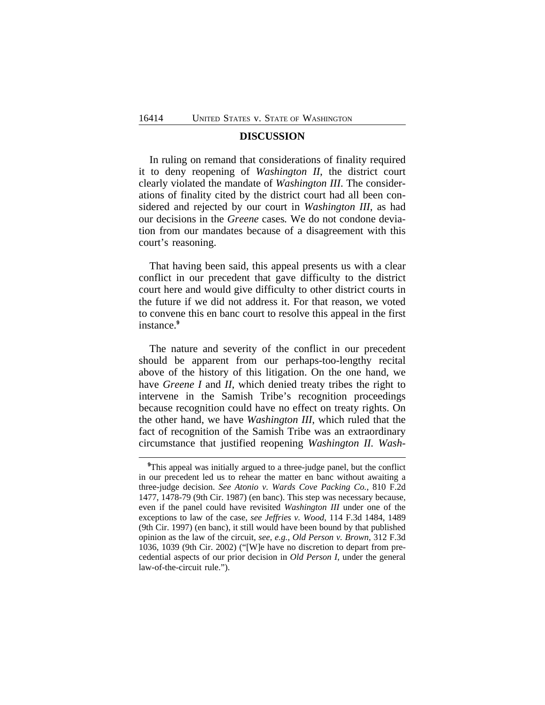### **DISCUSSION**

In ruling on remand that considerations of finality required it to deny reopening of *Washington II*, the district court clearly violated the mandate of *Washington III*. The considerations of finality cited by the district court had all been considered and rejected by our court in *Washington III*, as had our decisions in the *Greene* cases*.* We do not condone deviation from our mandates because of a disagreement with this court's reasoning.

That having been said, this appeal presents us with a clear conflict in our precedent that gave difficulty to the district court here and would give difficulty to other district courts in the future if we did not address it. For that reason, we voted to convene this en banc court to resolve this appeal in the first instance.**<sup>9</sup>**

The nature and severity of the conflict in our precedent should be apparent from our perhaps-too-lengthy recital above of the history of this litigation. On the one hand, we have *Greene I* and *II*, which denied treaty tribes the right to intervene in the Samish Tribe's recognition proceedings because recognition could have no effect on treaty rights. On the other hand, we have *Washington III*, which ruled that the fact of recognition of the Samish Tribe was an extraordinary circumstance that justified reopening *Washington II. Wash-*

**<sup>9</sup>**This appeal was initially argued to a three-judge panel, but the conflict in our precedent led us to rehear the matter en banc without awaiting a three-judge decision. *See Atonio v. Wards Cove Packing Co.*, 810 F.2d 1477, 1478-79 (9th Cir. 1987) (en banc). This step was necessary because, even if the panel could have revisited *Washington III* under one of the exceptions to law of the case, *see Jeffries v. Wood*, 114 F.3d 1484, 1489 (9th Cir. 1997) (en banc), it still would have been bound by that published opinion as the law of the circuit, *see, e.g.*, *Old Person v. Brown*, 312 F.3d 1036, 1039 (9th Cir. 2002) ("[W]e have no discretion to depart from precedential aspects of our prior decision in *Old Person I*, under the general law-of-the-circuit rule.").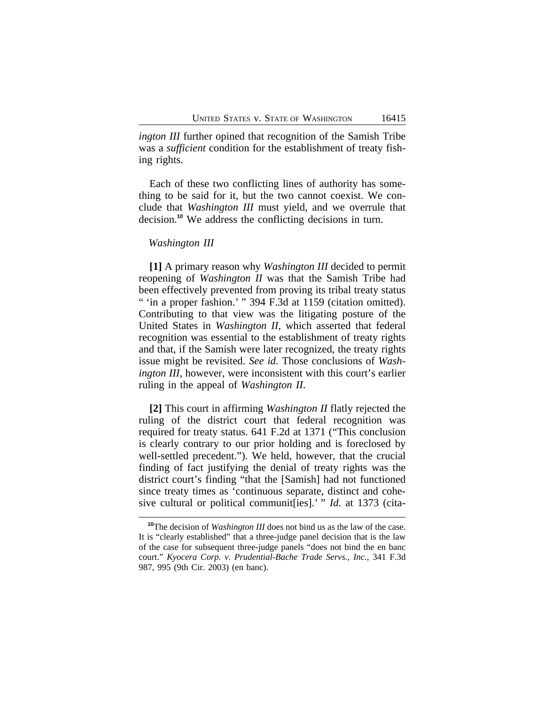*ington III* further opined that recognition of the Samish Tribe was a *sufficient* condition for the establishment of treaty fishing rights.

Each of these two conflicting lines of authority has something to be said for it, but the two cannot coexist. We conclude that *Washington III* must yield, and we overrule that decision.**<sup>10</sup>** We address the conflicting decisions in turn.

#### *Washington III*

**[1]** A primary reason why *Washington III* decided to permit reopening of *Washington II* was that the Samish Tribe had been effectively prevented from proving its tribal treaty status " 'in a proper fashion.' " 394 F.3d at 1159 (citation omitted). Contributing to that view was the litigating posture of the United States in *Washington II*, which asserted that federal recognition was essential to the establishment of treaty rights and that, if the Samish were later recognized, the treaty rights issue might be revisited. *See id.* Those conclusions of *Washington III*, however, were inconsistent with this court's earlier ruling in the appeal of *Washington II*.

**[2]** This court in affirming *Washington II* flatly rejected the ruling of the district court that federal recognition was required for treaty status. 641 F.2d at 1371 ("This conclusion is clearly contrary to our prior holding and is foreclosed by well-settled precedent."). We held, however, that the crucial finding of fact justifying the denial of treaty rights was the district court's finding "that the [Samish] had not functioned since treaty times as 'continuous separate, distinct and cohesive cultural or political communit[ies].' " *Id.* at 1373 (cita-

**<sup>10</sup>**The decision of *Washington III* does not bind us as the law of the case. It is "clearly established" that a three-judge panel decision that is the law of the case for subsequent three-judge panels "does not bind the en banc court." *Kyocera Corp. v. Prudential-Bache Trade Servs., Inc.*, 341 F.3d 987, 995 (9th Cir. 2003) (en banc).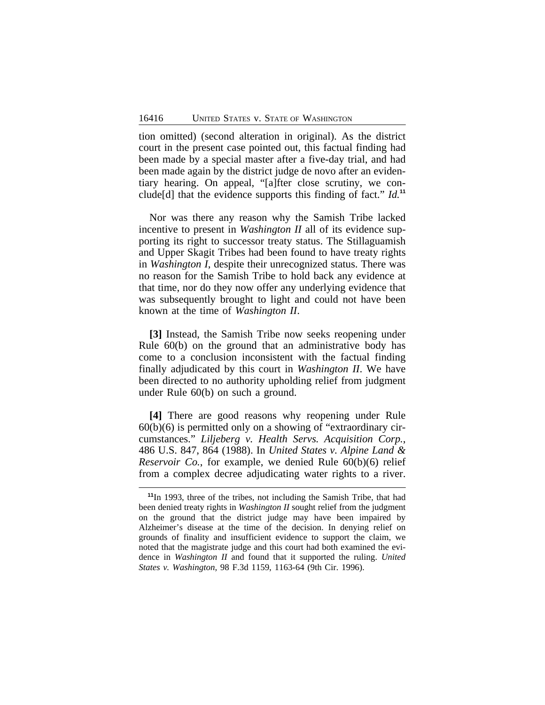tion omitted) (second alteration in original). As the district court in the present case pointed out, this factual finding had been made by a special master after a five-day trial, and had been made again by the district judge de novo after an evidentiary hearing. On appeal, "[a]fter close scrutiny, we conclude[d] that the evidence supports this finding of fact." *Id.***<sup>11</sup>**

Nor was there any reason why the Samish Tribe lacked incentive to present in *Washington II* all of its evidence supporting its right to successor treaty status. The Stillaguamish and Upper Skagit Tribes had been found to have treaty rights in *Washington I*, despite their unrecognized status. There was no reason for the Samish Tribe to hold back any evidence at that time, nor do they now offer any underlying evidence that was subsequently brought to light and could not have been known at the time of *Washington II*.

**[3]** Instead, the Samish Tribe now seeks reopening under Rule 60(b) on the ground that an administrative body has come to a conclusion inconsistent with the factual finding finally adjudicated by this court in *Washington II*. We have been directed to no authority upholding relief from judgment under Rule 60(b) on such a ground.

**[4]** There are good reasons why reopening under Rule  $60(b)(6)$  is permitted only on a showing of "extraordinary circumstances." *Liljeberg v. Health Servs. Acquisition Corp.*, 486 U.S. 847, 864 (1988). In *United States v. Alpine Land & Reservoir Co.*, for example, we denied Rule 60(b)(6) relief from a complex decree adjudicating water rights to a river.

**<sup>11</sup>**In 1993, three of the tribes, not including the Samish Tribe, that had been denied treaty rights in *Washington II* sought relief from the judgment on the ground that the district judge may have been impaired by Alzheimer's disease at the time of the decision. In denying relief on grounds of finality and insufficient evidence to support the claim, we noted that the magistrate judge and this court had both examined the evidence in *Washington II* and found that it supported the ruling. *United States v. Washington*, 98 F.3d 1159, 1163-64 (9th Cir. 1996).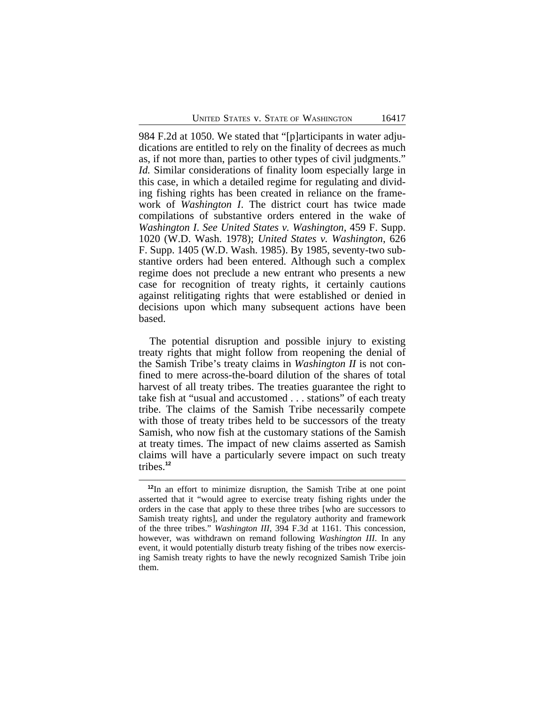984 F.2d at 1050. We stated that "[p]articipants in water adjudications are entitled to rely on the finality of decrees as much as, if not more than, parties to other types of civil judgments." *Id.* Similar considerations of finality loom especially large in this case, in which a detailed regime for regulating and dividing fishing rights has been created in reliance on the framework of *Washington I*. The district court has twice made compilations of substantive orders entered in the wake of *Washington I*. *See United States v. Washington*, 459 F. Supp. 1020 (W.D. Wash. 1978); *United States v. Washington*, 626 F. Supp. 1405 (W.D. Wash. 1985). By 1985, seventy-two substantive orders had been entered. Although such a complex regime does not preclude a new entrant who presents a new case for recognition of treaty rights, it certainly cautions against relitigating rights that were established or denied in decisions upon which many subsequent actions have been based.

The potential disruption and possible injury to existing treaty rights that might follow from reopening the denial of the Samish Tribe's treaty claims in *Washington II* is not confined to mere across-the-board dilution of the shares of total harvest of all treaty tribes. The treaties guarantee the right to take fish at "usual and accustomed . . . stations" of each treaty tribe. The claims of the Samish Tribe necessarily compete with those of treaty tribes held to be successors of the treaty Samish, who now fish at the customary stations of the Samish at treaty times. The impact of new claims asserted as Samish claims will have a particularly severe impact on such treaty tribes.**<sup>12</sup>**

**<sup>12</sup>**In an effort to minimize disruption, the Samish Tribe at one point asserted that it "would agree to exercise treaty fishing rights under the orders in the case that apply to these three tribes [who are successors to Samish treaty rights], and under the regulatory authority and framework of the three tribes." *Washington III*, 394 F.3d at 1161. This concession, however, was withdrawn on remand following *Washington III*. In any event, it would potentially disturb treaty fishing of the tribes now exercising Samish treaty rights to have the newly recognized Samish Tribe join them.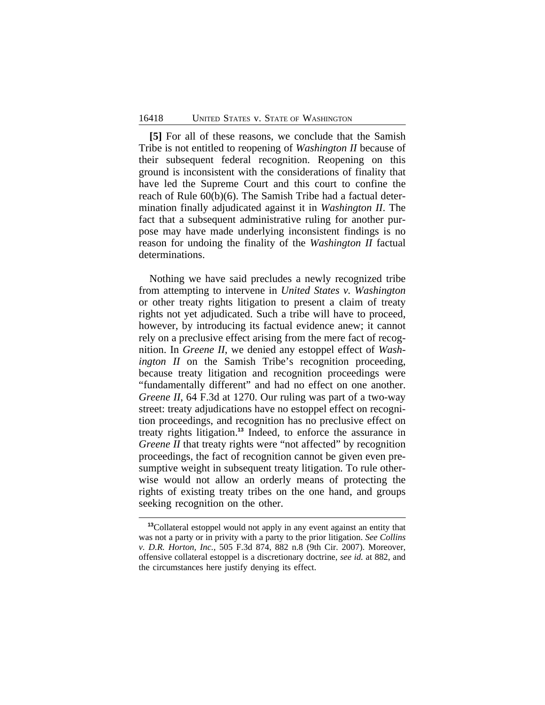**[5]** For all of these reasons, we conclude that the Samish Tribe is not entitled to reopening of *Washington II* because of their subsequent federal recognition. Reopening on this ground is inconsistent with the considerations of finality that have led the Supreme Court and this court to confine the reach of Rule 60(b)(6). The Samish Tribe had a factual determination finally adjudicated against it in *Washington II*. The fact that a subsequent administrative ruling for another purpose may have made underlying inconsistent findings is no reason for undoing the finality of the *Washington II* factual determinations.

Nothing we have said precludes a newly recognized tribe from attempting to intervene in *United States v. Washington* or other treaty rights litigation to present a claim of treaty rights not yet adjudicated. Such a tribe will have to proceed, however, by introducing its factual evidence anew; it cannot rely on a preclusive effect arising from the mere fact of recognition. In *Greene II*, we denied any estoppel effect of *Washington II* on the Samish Tribe's recognition proceeding, because treaty litigation and recognition proceedings were "fundamentally different" and had no effect on one another. *Greene II*, 64 F.3d at 1270. Our ruling was part of a two-way street: treaty adjudications have no estoppel effect on recognition proceedings, and recognition has no preclusive effect on treaty rights litigation.**<sup>13</sup>** Indeed, to enforce the assurance in *Greene II* that treaty rights were "not affected" by recognition proceedings, the fact of recognition cannot be given even presumptive weight in subsequent treaty litigation. To rule otherwise would not allow an orderly means of protecting the rights of existing treaty tribes on the one hand, and groups seeking recognition on the other.

**<sup>13</sup>**Collateral estoppel would not apply in any event against an entity that was not a party or in privity with a party to the prior litigation. *See Collins v. D.R. Horton, Inc.*, 505 F.3d 874, 882 n.8 (9th Cir. 2007). Moreover, offensive collateral estoppel is a discretionary doctrine, *see id.* at 882, and the circumstances here justify denying its effect.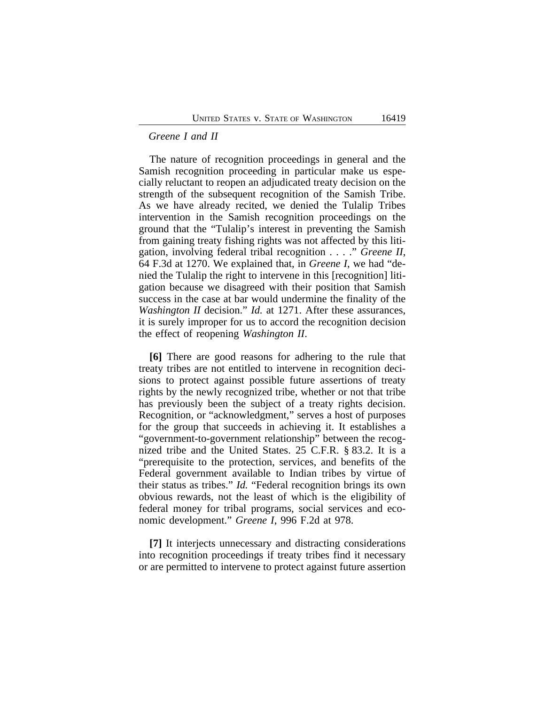#### *Greene I and II*

The nature of recognition proceedings in general and the Samish recognition proceeding in particular make us especially reluctant to reopen an adjudicated treaty decision on the strength of the subsequent recognition of the Samish Tribe. As we have already recited, we denied the Tulalip Tribes intervention in the Samish recognition proceedings on the ground that the "Tulalip's interest in preventing the Samish from gaining treaty fishing rights was not affected by this litigation, involving federal tribal recognition . . . ." *Greene II*, 64 F.3d at 1270. We explained that, in *Greene I*, we had "denied the Tulalip the right to intervene in this [recognition] litigation because we disagreed with their position that Samish success in the case at bar would undermine the finality of the *Washington II* decision." *Id.* at 1271. After these assurances, it is surely improper for us to accord the recognition decision the effect of reopening *Washington II*.

**[6]** There are good reasons for adhering to the rule that treaty tribes are not entitled to intervene in recognition decisions to protect against possible future assertions of treaty rights by the newly recognized tribe, whether or not that tribe has previously been the subject of a treaty rights decision. Recognition, or "acknowledgment," serves a host of purposes for the group that succeeds in achieving it. It establishes a "government-to-government relationship" between the recognized tribe and the United States. 25 C.F.R. § 83.2. It is a "prerequisite to the protection, services, and benefits of the Federal government available to Indian tribes by virtue of their status as tribes." *Id.* "Federal recognition brings its own obvious rewards, not the least of which is the eligibility of federal money for tribal programs, social services and economic development." *Greene I*, 996 F.2d at 978.

**[7]** It interjects unnecessary and distracting considerations into recognition proceedings if treaty tribes find it necessary or are permitted to intervene to protect against future assertion